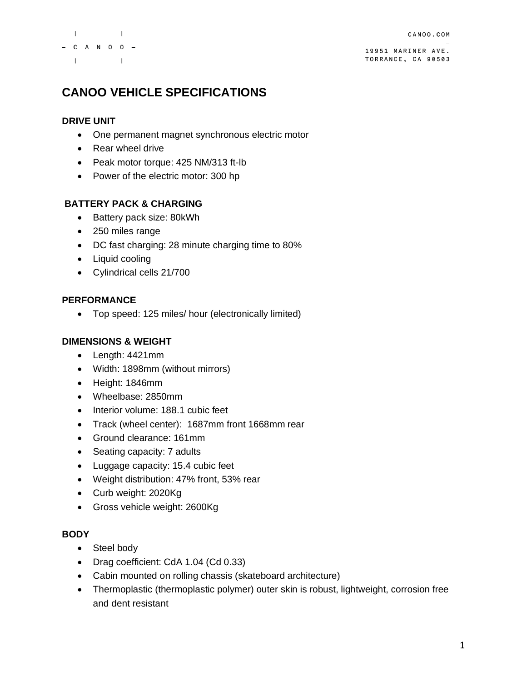

19951 MARINER AVE. TORRANCE, CA 90503

# **CANOO VEHICLE SPECIFICATIONS**

### **DRIVE UNIT**

- One permanent magnet synchronous electric motor
- Rear wheel drive
- Peak motor torque: 425 NM/313 ft-lb
- Power of the electric motor: 300 hp

### **BATTERY PACK & CHARGING**

- Battery pack size: 80kWh
- 250 miles range
- DC fast charging: 28 minute charging time to 80%
- Liquid cooling
- Cylindrical cells 21/700

### **PERFORMANCE**

• Top speed: 125 miles/ hour (electronically limited)

### **DIMENSIONS & WEIGHT**

- Length: 4421mm
- Width: 1898mm (without mirrors)
- Height: 1846mm
- Wheelbase: 2850mm
- Interior volume: 188.1 cubic feet
- Track (wheel center): 1687mm front 1668mm rear
- Ground clearance: 161mm
- Seating capacity: 7 adults
- Luggage capacity: 15.4 cubic feet
- Weight distribution: 47% front, 53% rear
- Curb weight: 2020Kg
- Gross vehicle weight: 2600Kg

#### **BODY**

- Steel body
- Drag coefficient: CdA 1.04 (Cd 0.33)
- Cabin mounted on rolling chassis (skateboard architecture)
- Thermoplastic (thermoplastic polymer) outer skin is robust, lightweight, corrosion free and dent resistant